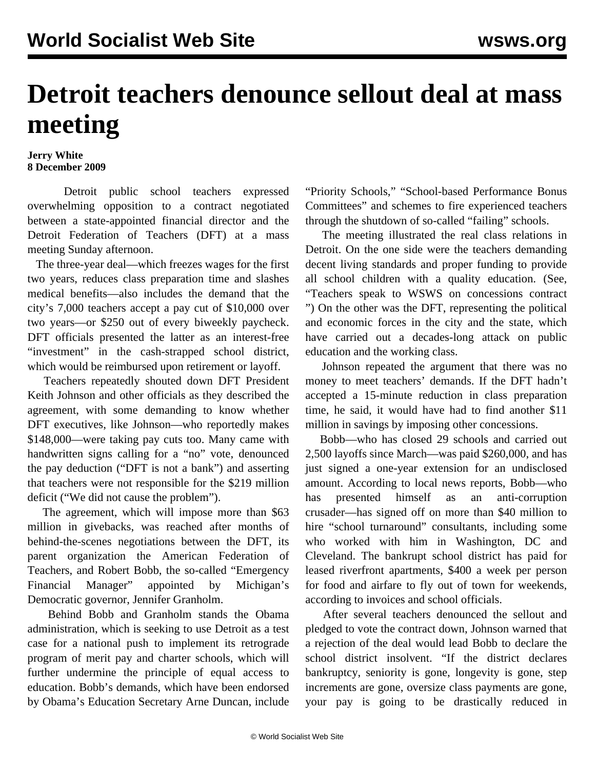## **Detroit teachers denounce sellout deal at mass meeting**

## **Jerry White 8 December 2009**

 Detroit public school teachers expressed overwhelming opposition to a contract negotiated between a state-appointed financial director and the Detroit Federation of Teachers (DFT) at a mass meeting Sunday afternoon.

 The three-year deal—which freezes wages for the first two years, reduces class preparation time and slashes medical benefits—also includes the demand that the city's 7,000 teachers accept a pay cut of \$10,000 over two years—or \$250 out of every biweekly paycheck. DFT officials presented the latter as an interest-free "investment" in the cash-strapped school district, which would be reimbursed upon retirement or layoff.

 Teachers repeatedly shouted down DFT President Keith Johnson and other officials as they described the agreement, with some demanding to know whether DFT executives, like Johnson—who reportedly makes \$148,000—were taking pay cuts too. Many came with handwritten signs calling for a "no" vote, denounced the pay deduction ("DFT is not a bank") and asserting that teachers were not responsible for the \$219 million deficit ("We did not cause the problem").

 The agreement, which will impose more than \$63 million in givebacks, was reached after months of behind-the-scenes negotiations between the DFT, its parent organization the American Federation of Teachers, and Robert Bobb, the so-called "Emergency Financial Manager" appointed by Michigan's Democratic governor, Jennifer Granholm.

 Behind Bobb and Granholm stands the Obama administration, which is seeking to use Detroit as a test case for a national push to implement its retrograde program of merit pay and charter schools, which will further undermine the principle of equal access to education. Bobb's demands, which have been endorsed by Obama's Education Secretary Arne Duncan, include "Priority Schools," "School-based Performance Bonus Committees" and schemes to fire experienced teachers through the shutdown of so-called "failing" schools.

 The meeting illustrated the real class relations in Detroit. On the one side were the teachers demanding decent living standards and proper funding to provide all school children with a quality education. (See, "[Teachers speak to WSWS on concessions contract](/en/articles/2009/dec2009/det2-d08.shtml) ") On the other was the DFT, representing the political and economic forces in the city and the state, which have carried out a decades-long attack on public education and the working class.

 Johnson repeated the argument that there was no money to meet teachers' demands. If the DFT hadn't accepted a 15-minute reduction in class preparation time, he said, it would have had to find another \$11 million in savings by imposing other concessions.

 Bobb—who has closed 29 schools and carried out 2,500 layoffs since March—was paid \$260,000, and has just signed a one-year extension for an undisclosed amount. According to local news reports, Bobb—who has presented himself as an anti-corruption crusader—has signed off on more than \$40 million to hire "school turnaround" consultants, including some who worked with him in Washington, DC and Cleveland. The bankrupt school district has paid for leased riverfront apartments, \$400 a week per person for food and airfare to fly out of town for weekends, according to invoices and school officials.

 After several teachers denounced the sellout and pledged to vote the contract down, Johnson warned that a rejection of the deal would lead Bobb to declare the school district insolvent. "If the district declares bankruptcy, seniority is gone, longevity is gone, step increments are gone, oversize class payments are gone, your pay is going to be drastically reduced in